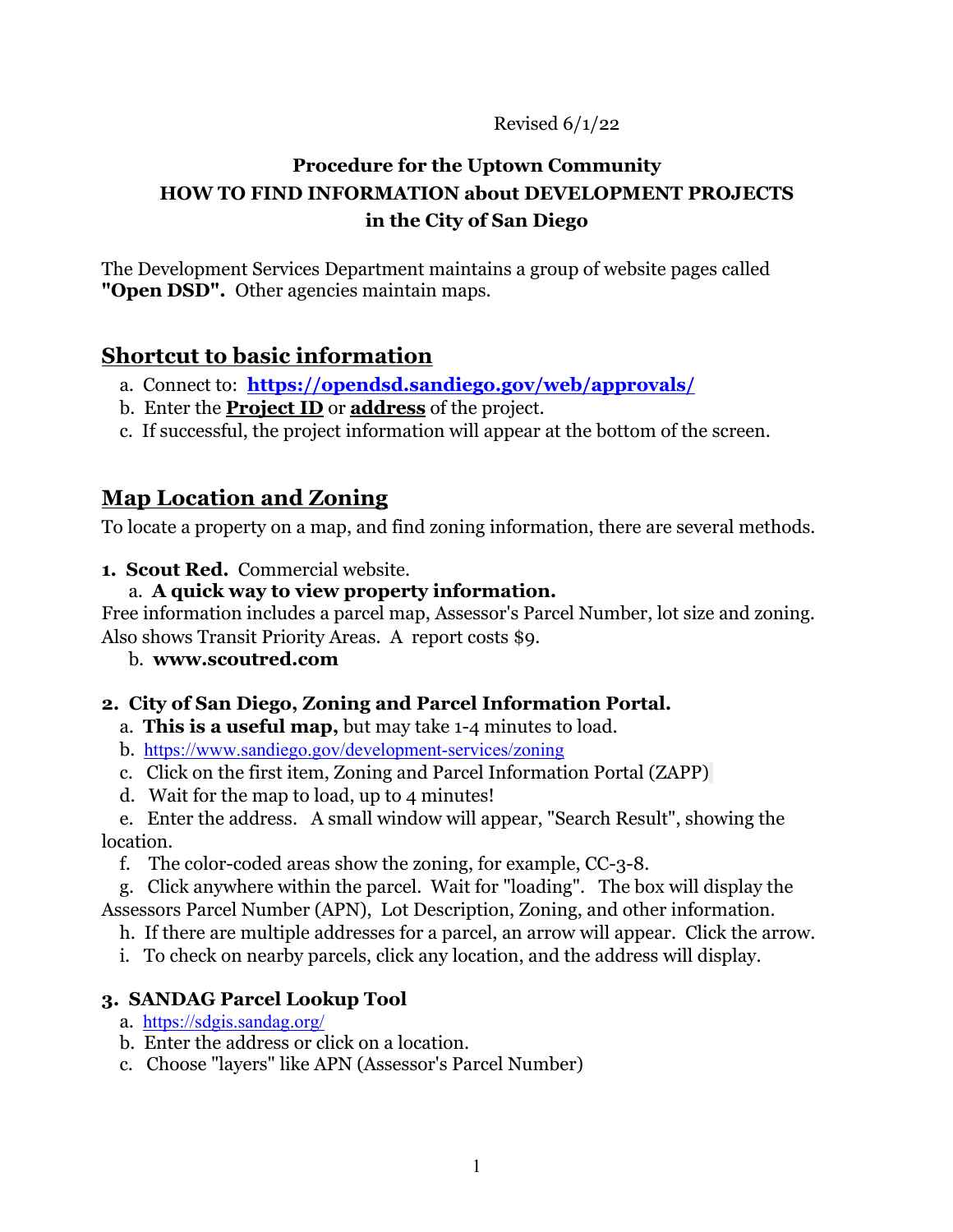Revised 6/1/22

# **Procedure for the Uptown Community HOW TO FIND INFORMATION about DEVELOPMENT PROJECTS in the City of San Diego**

The Development Services Department maintains a group of website pages called **"Open DSD".** Other agencies maintain maps.

## **Shortcut to basic information**

- a. Connect to: **https://opendsd.sandiego.gov/web/approvals/**
- b. Enter the **Project ID** or **address** of the project.
- c. If successful, the project information will appear at the bottom of the screen.

# **Map Location and Zoning**

To locate a property on a map, and find zoning information, there are several methods.

**1. Scout Red.** Commercial website.

### a. **A quick way to view property information.**

Free information includes a parcel map, Assessor's Parcel Number, lot size and zoning. Also shows Transit Priority Areas. A report costs \$9.

b. **www.scoutred.com**

### **2. City of San Diego, Zoning and Parcel Information Portal.**

- a. **This is a useful map,** but may take 1-4 minutes to load.
- b. https://www.sandiego.gov/development-services/zoning
- c. Click on the first item, Zoning and Parcel Information Portal (ZAPP)
- d. Wait for the map to load, up to 4 minutes!

 e. Enter the address. A small window will appear, "Search Result", showing the location.

f. The color-coded areas show the zoning, for example, CC-3-8.

 g. Click anywhere within the parcel. Wait for "loading". The box will display the Assessors Parcel Number (APN), Lot Description, Zoning, and other information.

h. If there are multiple addresses for a parcel, an arrow will appear. Click the arrow.

i. To check on nearby parcels, click any location, and the address will display.

### **3. SANDAG Parcel Lookup Tool**

- a. https://sdgis.sandag.org/
- b. Enter the address or click on a location.

c. Choose "layers" like APN (Assessor's Parcel Number)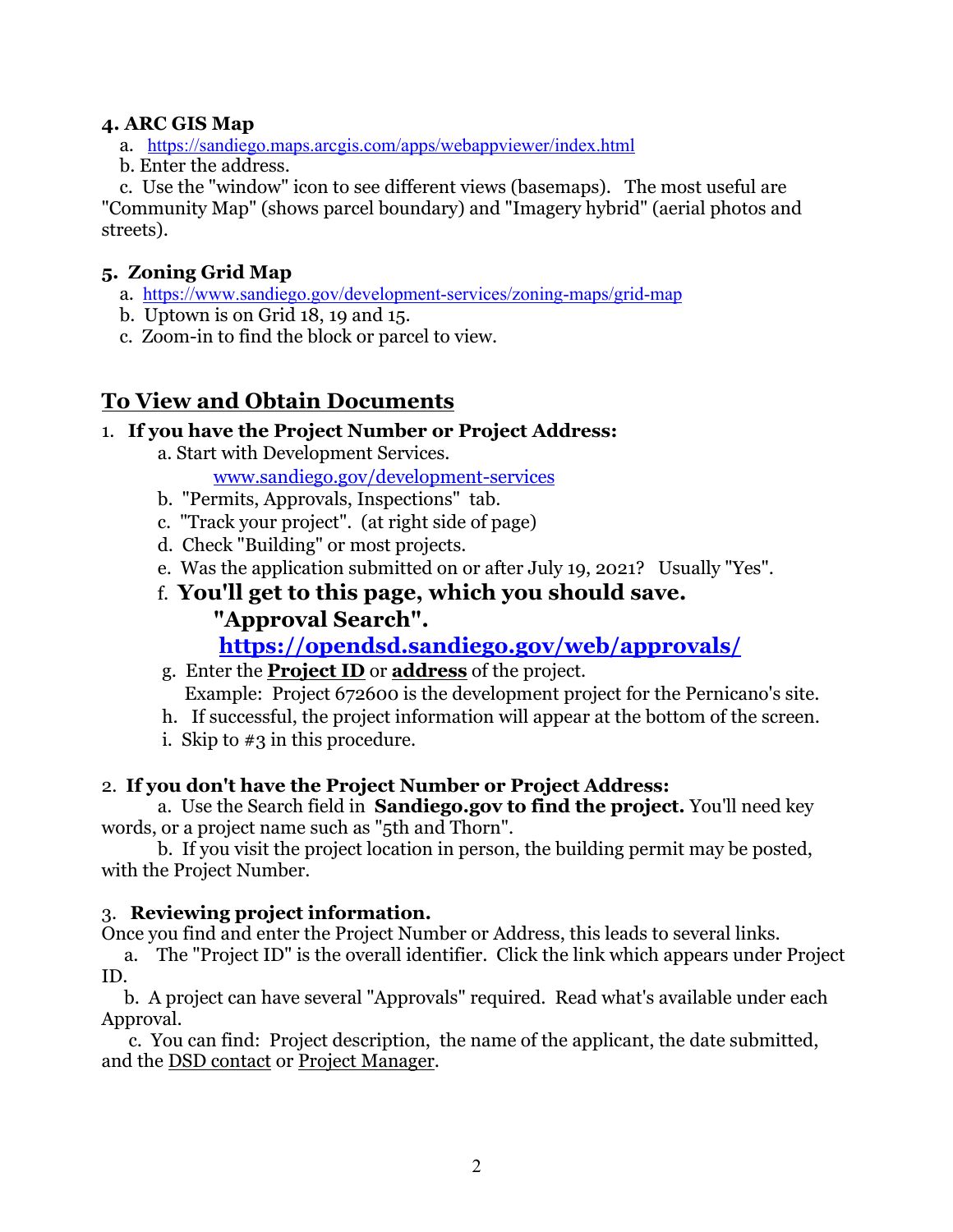#### **4. ARC GIS Map**

- a. https://sandiego.maps.arcgis.com/apps/webappviewer/index.html
- b. Enter the address.

 c. Use the "window" icon to see different views (basemaps). The most useful are "Community Map" (shows parcel boundary) and "Imagery hybrid" (aerial photos and streets).

### **5. Zoning Grid Map**

- a. https://www.sandiego.gov/development-services/zoning-maps/grid-map
- b. Uptown is on Grid 18, 19 and 15.
- c. Zoom-in to find the block or parcel to view.

# **To View and Obtain Documents**

### 1. **If you have the Project Number or Project Address:**

a. Start with Development Services.

www.sandiego.gov/development-services

- b. "Permits, Approvals, Inspections" tab.
- c. "Track your project". (at right side of page)
- d. Check "Building" or most projects.
- e. Was the application submitted on or after July 19, 2021? Usually "Yes".
- f. **You'll get to this page, which you should save. "Approval Search".**

# **https://opendsd.sandiego.gov/web/approvals/**

- g. Enter the **Project ID** or **address** of the project. Example: Project 672600 is the development project for the Pernicano's site.
- h. If successful, the project information will appear at the bottom of the screen.
- i. Skip to #3 in this procedure.

### 2. **If you don't have the Project Number or Project Address:**

a. Use the Search field in **Sandiego.gov to find the project.** You'll need key words, or a project name such as "5th and Thorn".

b. If you visit the project location in person, the building permit may be posted, with the Project Number.

### 3. **Reviewing project information.**

Once you find and enter the Project Number or Address, this leads to several links.

 a. The "Project ID" is the overall identifier. Click the link which appears under Project ID.

 b. A project can have several "Approvals" required. Read what's available under each Approval.

 c. You can find: Project description, the name of the applicant, the date submitted, and the DSD contact or Project Manager.